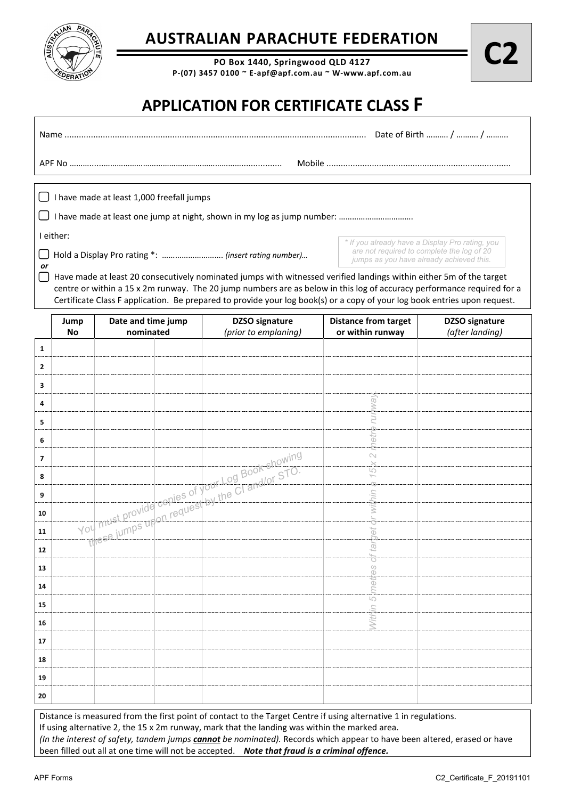

## **AUSTRALIAN PARACHUTE FEDERATION**

**PO Box 1440, Springwood QLD 4127 P-(07) 3457 0100 ~ E-apf@apf.com.au ~ W-www.apf.com.au**

## **APPLICATION FOR CERTIFICATE CLASS F**

|                                                                                                                                        | Date of Birth  /  /                                                                                                                       |
|----------------------------------------------------------------------------------------------------------------------------------------|-------------------------------------------------------------------------------------------------------------------------------------------|
|                                                                                                                                        |                                                                                                                                           |
| have made at least 1,000 freefall jumps                                                                                                |                                                                                                                                           |
|                                                                                                                                        |                                                                                                                                           |
| Hold a Display Pro rating *:  (insert rating number)                                                                                   | * If you already have a Display Pro rating, you<br>are not required to complete the log of 20<br>jumps as you have already achieved this. |
| I either:<br>or<br>Have made at least 20 consecutively nominated jumps with witnessed verified landings within either 5m of the target |                                                                                                                                           |

Have made at least 20 consecutively nominated jumps with witnessed verified landings within either 5m of the target centre or within a 15 x 2m runway. The 20 jump numbers are as below in this log of accuracy performance required for a Certificate Class F application. Be prepared to provide your log book(s) or a copy of your log book entries upon request.

|                          | Jump                                                                                                                                                                                                              | Date and time jump |                      | <b>DZSO</b> signature                                                                                                                                                                                                           | <b>Distance from target</b> | <b>DZSO</b> signature |
|--------------------------|-------------------------------------------------------------------------------------------------------------------------------------------------------------------------------------------------------------------|--------------------|----------------------|---------------------------------------------------------------------------------------------------------------------------------------------------------------------------------------------------------------------------------|-----------------------------|-----------------------|
|                          | nominated<br><b>No</b>                                                                                                                                                                                            |                    | (prior to emplaning) | or within runway                                                                                                                                                                                                                | (after landing)             |                       |
| $\mathbf{1}$             |                                                                                                                                                                                                                   |                    |                      |                                                                                                                                                                                                                                 |                             |                       |
| $\overline{2}$           |                                                                                                                                                                                                                   |                    |                      |                                                                                                                                                                                                                                 |                             |                       |
| 3                        |                                                                                                                                                                                                                   |                    |                      |                                                                                                                                                                                                                                 |                             |                       |
| 4                        |                                                                                                                                                                                                                   |                    |                      |                                                                                                                                                                                                                                 |                             |                       |
| 5                        |                                                                                                                                                                                                                   |                    |                      |                                                                                                                                                                                                                                 |                             |                       |
| 6                        |                                                                                                                                                                                                                   |                    |                      |                                                                                                                                                                                                                                 | CD                          |                       |
| $\overline{\phantom{a}}$ |                                                                                                                                                                                                                   |                    |                      | You must provide copies of your Log Book showing<br>You must provide copies of your Log Book showing                                                                                                                            | $\sim$                      |                       |
| 8                        |                                                                                                                                                                                                                   |                    |                      |                                                                                                                                                                                                                                 | 5                           |                       |
| 9                        |                                                                                                                                                                                                                   |                    |                      |                                                                                                                                                                                                                                 |                             |                       |
| 10                       |                                                                                                                                                                                                                   |                    |                      |                                                                                                                                                                                                                                 |                             |                       |
| 11                       |                                                                                                                                                                                                                   |                    |                      |                                                                                                                                                                                                                                 | Ö                           |                       |
| 12                       |                                                                                                                                                                                                                   |                    |                      |                                                                                                                                                                                                                                 | Ū                           |                       |
| 13                       |                                                                                                                                                                                                                   |                    |                      |                                                                                                                                                                                                                                 | se.                         |                       |
| 14                       |                                                                                                                                                                                                                   |                    |                      |                                                                                                                                                                                                                                 | neti                        |                       |
| 15                       |                                                                                                                                                                                                                   |                    |                      |                                                                                                                                                                                                                                 | $\overline{5}$              |                       |
| 16                       |                                                                                                                                                                                                                   |                    |                      |                                                                                                                                                                                                                                 |                             |                       |
| 17                       |                                                                                                                                                                                                                   |                    |                      |                                                                                                                                                                                                                                 |                             |                       |
| 18                       |                                                                                                                                                                                                                   |                    |                      |                                                                                                                                                                                                                                 |                             |                       |
| 19                       |                                                                                                                                                                                                                   |                    |                      |                                                                                                                                                                                                                                 |                             |                       |
| 20                       |                                                                                                                                                                                                                   |                    |                      |                                                                                                                                                                                                                                 |                             |                       |
|                          | Distance is measured from the first point of contact to the Target Centre if using alternative 1 in regulations.<br>If using alternative 2, the 15 x 2m runway, mark that the landing was within the marked area. |                    |                      |                                                                                                                                                                                                                                 |                             |                       |
|                          |                                                                                                                                                                                                                   |                    |                      | (In the interest of safety, tandem jumps <i>cannot</i> be nominated). Records which appear to have been altered, erased or have<br>been filled out all at one time will not be accepted. Note that fraud is a criminal offence. |                             |                       |